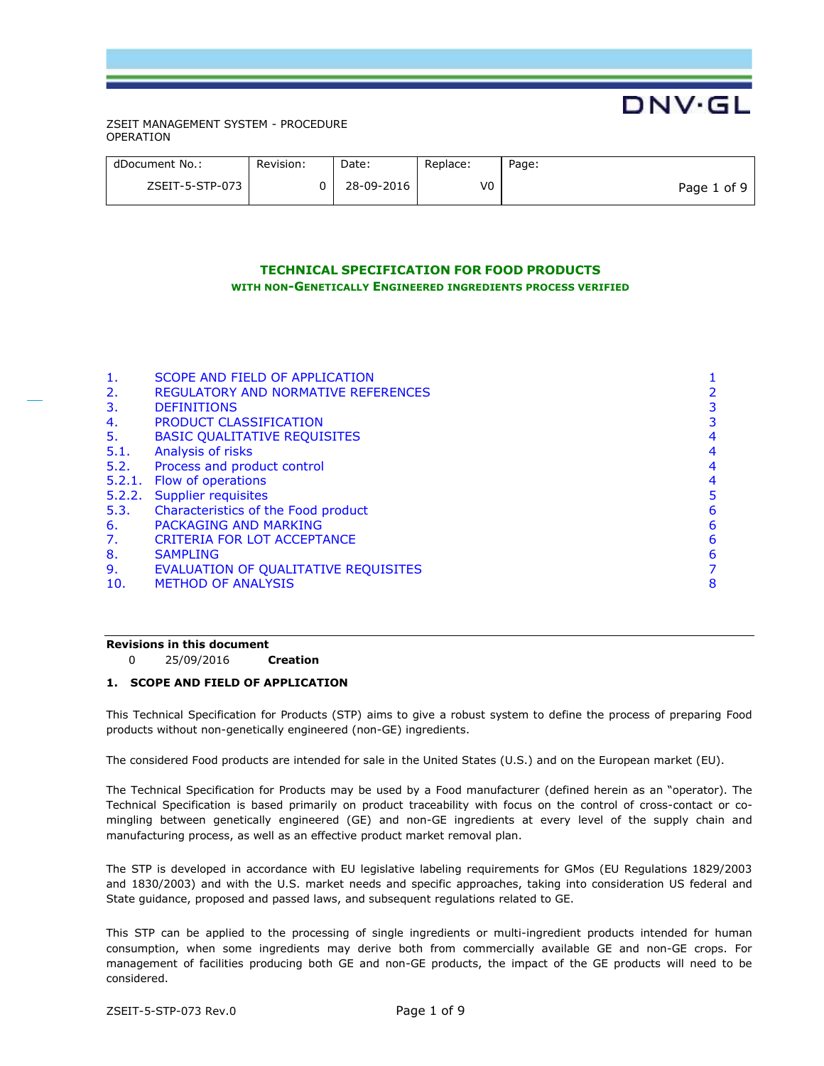| dDocument No.:  | Revision: | Date:      | Replace: | Page:       |
|-----------------|-----------|------------|----------|-------------|
| ZSEIT-5-STP-073 |           | 28-09-2016 | V0       | Page 1 of 9 |

**DNV·GL** 

# **TECHNICAL SPECIFICATION FOR FOOD PRODUCTS WITH NON-GENETICALLY ENGINEERED INGREDIENTS PROCESS VERIFIED**

| 1.<br>2.<br>3.<br>4.<br>5.<br>5.1.<br>5.2.<br>5.3. | SCOPE AND FIELD OF APPLICATION<br><b>REGULATORY AND NORMATIVE REFERENCES</b><br><b>DEFINITIONS</b><br>PRODUCT CLASSIFICATION<br><b>BASIC QUALITATIVE REQUISITES</b><br>Analysis of risks<br>Process and product control<br>5.2.1. Flow of operations<br>5.2.2. Supplier requisites<br>Characteristics of the Food product | 4<br>4<br>4<br>4<br>5<br>6 |
|----------------------------------------------------|---------------------------------------------------------------------------------------------------------------------------------------------------------------------------------------------------------------------------------------------------------------------------------------------------------------------------|----------------------------|
|                                                    |                                                                                                                                                                                                                                                                                                                           |                            |
|                                                    |                                                                                                                                                                                                                                                                                                                           |                            |
|                                                    |                                                                                                                                                                                                                                                                                                                           |                            |
|                                                    |                                                                                                                                                                                                                                                                                                                           |                            |
|                                                    |                                                                                                                                                                                                                                                                                                                           |                            |
|                                                    |                                                                                                                                                                                                                                                                                                                           |                            |
| 6.                                                 | PACKAGING AND MARKING                                                                                                                                                                                                                                                                                                     | 6                          |
| 7.                                                 | CRITERIA FOR LOT ACCEPTANCE                                                                                                                                                                                                                                                                                               | 6                          |
| 8.                                                 | <b>SAMPLING</b>                                                                                                                                                                                                                                                                                                           | 6                          |
| 9.                                                 | EVALUATION OF QUALITATIVE REQUISITES                                                                                                                                                                                                                                                                                      |                            |
| 10.                                                | <b>METHOD OF ANALYSIS</b>                                                                                                                                                                                                                                                                                                 | 8                          |
|                                                    |                                                                                                                                                                                                                                                                                                                           |                            |

## **Revisions in this document**

0 25/09/2016 **Creation**

## **1. SCOPE AND FIELD OF APPLICATION**

This Technical Specification for Products (STP) aims to give a robust system to define the process of preparing Food products without non-genetically engineered (non-GE) ingredients.

The considered Food products are intended for sale in the United States (U.S.) and on the European market (EU).

The Technical Specification for Products may be used by a Food manufacturer (defined herein as an "operator). The Technical Specification is based primarily on product traceability with focus on the control of cross-contact or comingling between genetically engineered (GE) and non-GE ingredients at every level of the supply chain and manufacturing process, as well as an effective product market removal plan.

The STP is developed in accordance with EU legislative labeling requirements for GMos (EU Regulations 1829/2003 and 1830/2003) and with the U.S. market needs and specific approaches, taking into consideration US federal and State guidance, proposed and passed laws, and subsequent regulations related to GE.

This STP can be applied to the processing of single ingredients or multi-ingredient products intended for human consumption, when some ingredients may derive both from commercially available GE and non-GE crops. For management of facilities producing both GE and non-GE products, the impact of the GE products will need to be considered.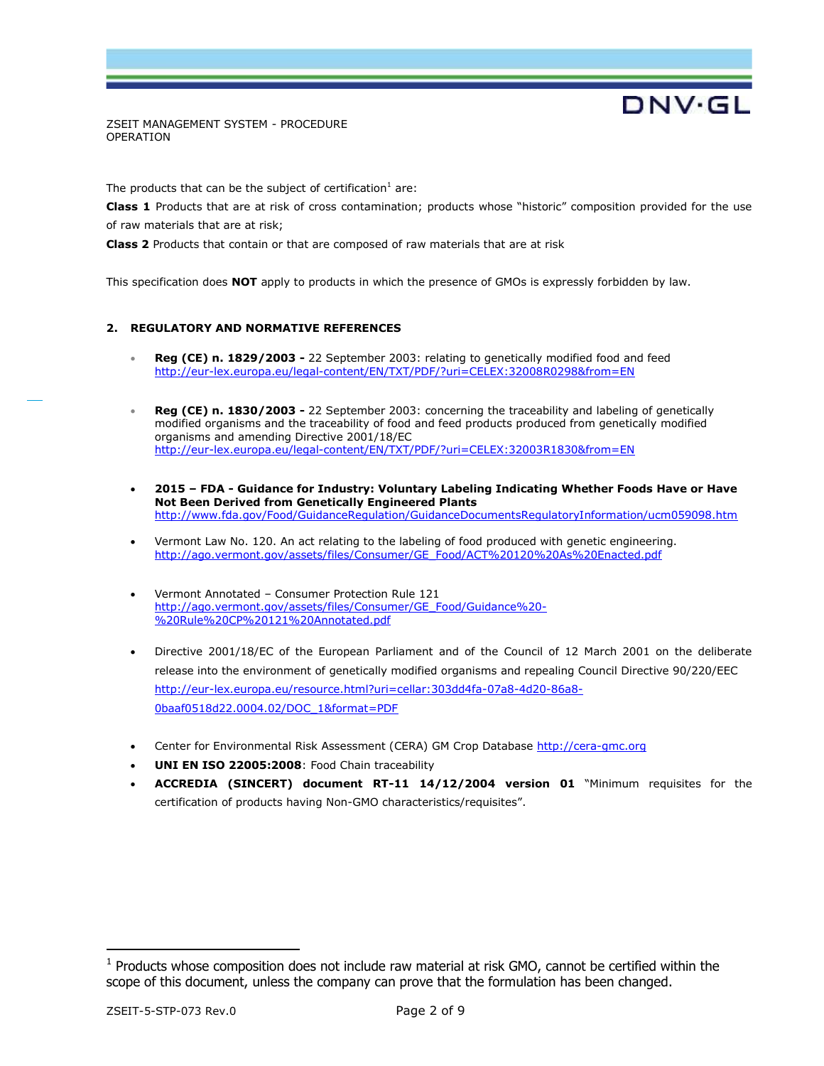The products that can be the subject of certification<sup>1</sup> are:

**Class 1** Products that are at risk of cross contamination; products whose "historic" composition provided for the use of raw materials that are at risk;

DNV·GL

**Class 2** Products that contain or that are composed of raw materials that are at risk

This specification does **NOT** apply to products in which the presence of GMOs is expressly forbidden by law.

## **2. REGULATORY AND NORMATIVE REFERENCES**

- **Reg (CE) n. 1829/2003 -** 22 September 2003: relating to genetically modified food and feed <http://eur-lex.europa.eu/legal-content/EN/TXT/PDF/?uri=CELEX:32008R0298&from=EN>
- **Reg (CE) n. 1830/2003 -** 22 September 2003: concerning the traceability and labeling of genetically modified organisms and the traceability of food and feed products produced from genetically modified organisms and amending Directive 2001/18/EC <http://eur-lex.europa.eu/legal-content/EN/TXT/PDF/?uri=CELEX:32003R1830&from=EN>
- **2015 – FDA - Guidance for Industry: Voluntary Labeling Indicating Whether Foods Have or Have Not Been Derived from Genetically Engineered Plants**  <http://www.fda.gov/Food/GuidanceRegulation/GuidanceDocumentsRegulatoryInformation/ucm059098.htm>
- Vermont Law No. 120. An act relating to the labeling of food produced with genetic engineering. [http://ago.vermont.gov/assets/files/Consumer/GE\\_Food/ACT%20120%20As%20Enacted.pdf](http://ago.vermont.gov/assets/files/Consumer/GE_Food/ACT%20120%20As%20Enacted.pdf)
- Vermont Annotated Consumer Protection Rule 121 [http://ago.vermont.gov/assets/files/Consumer/GE\\_Food/Guidance%20-](http://ago.vermont.gov/assets/files/Consumer/GE_Food/Guidance%20-%20Rule%20CP%20121%20Annotated.pdf) [%20Rule%20CP%20121%20Annotated.pdf](http://ago.vermont.gov/assets/files/Consumer/GE_Food/Guidance%20-%20Rule%20CP%20121%20Annotated.pdf)
- Directive 2001/18/EC of the European Parliament and of the Council of 12 March 2001 on the deliberate release into the environment of genetically modified organisms and repealing Council Directive 90/220/EEC [http://eur-lex.europa.eu/resource.html?uri=cellar:303dd4fa-07a8-4d20-86a8-](http://eur-lex.europa.eu/resource.html?uri=cellar:303dd4fa-07a8-4d20-86a8-0baaf0518d22.0004.02/DOC_1&format=PDF) [0baaf0518d22.0004.02/DOC\\_1&format=PDF](http://eur-lex.europa.eu/resource.html?uri=cellar:303dd4fa-07a8-4d20-86a8-0baaf0518d22.0004.02/DOC_1&format=PDF)
- Center for Environmental Risk Assessment (CERA) GM Crop Database [http://cera-gmc.org](http://cera-gmc.org/)
- **UNI EN ISO 22005:2008**: Food Chain traceability
- **ACCREDIA (SINCERT) document RT-11 14/12/2004 version 01** "Minimum requisites for the certification of products having Non-GMO characteristics/requisites".

 $\overline{a}$ 

 $1$  Products whose composition does not include raw material at risk GMO, cannot be certified within the scope of this document, unless the company can prove that the formulation has been changed.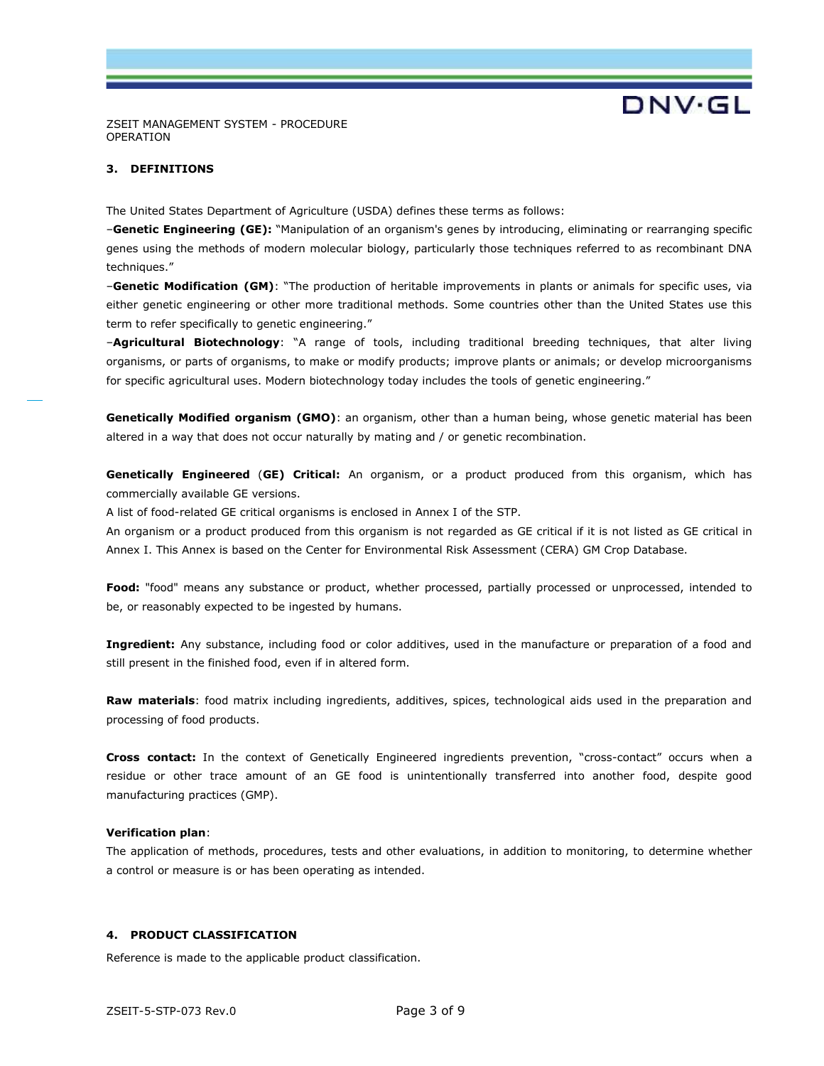

## **3. DEFINITIONS**

The United States Department of Agriculture (USDA) defines these terms as follows:

–**Genetic Engineering (GE):** "Manipulation of an organism's genes by introducing, eliminating or rearranging specific genes using the methods of modern molecular biology, particularly those techniques referred to as recombinant DNA techniques."

–**Genetic Modification (GM)**: "The production of heritable improvements in plants or animals for specific uses, via either genetic engineering or other more traditional methods. Some countries other than the United States use this term to refer specifically to genetic engineering."

–**Agricultural Biotechnology**: "A range of tools, including traditional breeding techniques, that alter living organisms, or parts of organisms, to make or modify products; improve plants or animals; or develop microorganisms for specific agricultural uses. Modern biotechnology today includes the tools of genetic engineering."

**Genetically Modified organism (GMO)**: an organism, other than a human being, whose genetic material has been altered in a way that does not occur naturally by mating and / or genetic recombination.

**Genetically Engineered** (**GE) Critical:** An organism, or a product produced from this organism, which has commercially available GE versions.

A list of food-related GE critical organisms is enclosed in Annex I of the STP.

An organism or a product produced from this organism is not regarded as GE critical if it is not listed as GE critical in Annex I. This Annex is based on the Center for Environmental Risk Assessment (CERA) GM Crop Database.

**Food:** "food" means any substance or product, whether processed, partially processed or unprocessed, intended to be, or reasonably expected to be ingested by humans.

**Ingredient:** Any substance, including food or color additives, used in the manufacture or preparation of a food and still present in the finished food, even if in altered form.

**Raw materials**: food matrix including ingredients, additives, spices, technological aids used in the preparation and processing of food products.

**Cross contact:** In the context of Genetically Engineered ingredients prevention, "cross-contact" occurs when a residue or other trace amount of an GE food is unintentionally transferred into another food, despite good manufacturing practices (GMP).

## **Verification plan**:

The application of methods, procedures, tests and other evaluations, in addition to monitoring, to determine whether a control or measure is or has been operating as intended.

## **4. PRODUCT CLASSIFICATION**

Reference is made to the applicable product classification.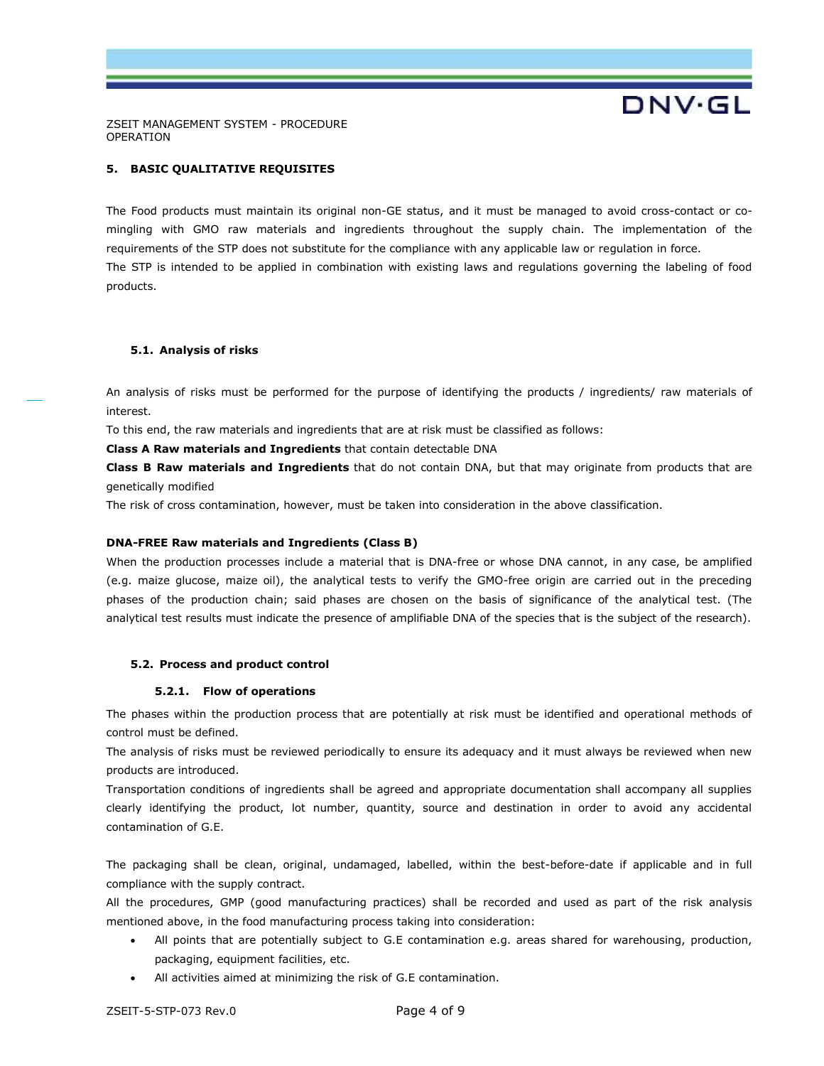**DNV·GL** 

ZSEIT MANAGEMENT SYSTEM - PROCEDURE OPERATION

## **5. BASIC QUALITATIVE REQUISITES**

The Food products must maintain its original non-GE status, and it must be managed to avoid cross-contact or comingling with GMO raw materials and ingredients throughout the supply chain. The implementation of the requirements of the STP does not substitute for the compliance with any applicable law or regulation in force. The STP is intended to be applied in combination with existing laws and regulations governing the labeling of food products.

## **5.1. Analysis of risks**

An analysis of risks must be performed for the purpose of identifying the products / ingredients/ raw materials of interest.

To this end, the raw materials and ingredients that are at risk must be classified as follows:

**Class A Raw materials and Ingredients** that contain detectable DNA

**Class B Raw materials and Ingredients** that do not contain DNA, but that may originate from products that are genetically modified

The risk of cross contamination, however, must be taken into consideration in the above classification.

## **DNA-FREE Raw materials and Ingredients (Class B)**

When the production processes include a material that is DNA-free or whose DNA cannot, in any case, be amplified (e.g. maize glucose, maize oil), the analytical tests to verify the GMO-free origin are carried out in the preceding phases of the production chain; said phases are chosen on the basis of significance of the analytical test. (The analytical test results must indicate the presence of amplifiable DNA of the species that is the subject of the research).

## **5.2. Process and product control**

#### **5.2.1. Flow of operations**

The phases within the production process that are potentially at risk must be identified and operational methods of control must be defined.

The analysis of risks must be reviewed periodically to ensure its adequacy and it must always be reviewed when new products are introduced.

Transportation conditions of ingredients shall be agreed and appropriate documentation shall accompany all supplies clearly identifying the product, lot number, quantity, source and destination in order to avoid any accidental contamination of G.E.

The packaging shall be clean, original, undamaged, labelled, within the best-before-date if applicable and in full compliance with the supply contract.

All the procedures, GMP (good manufacturing practices) shall be recorded and used as part of the risk analysis mentioned above, in the food manufacturing process taking into consideration:

- All points that are potentially subject to G.E contamination e.g. areas shared for warehousing, production, packaging, equipment facilities, etc.
- All activities aimed at minimizing the risk of G.E contamination.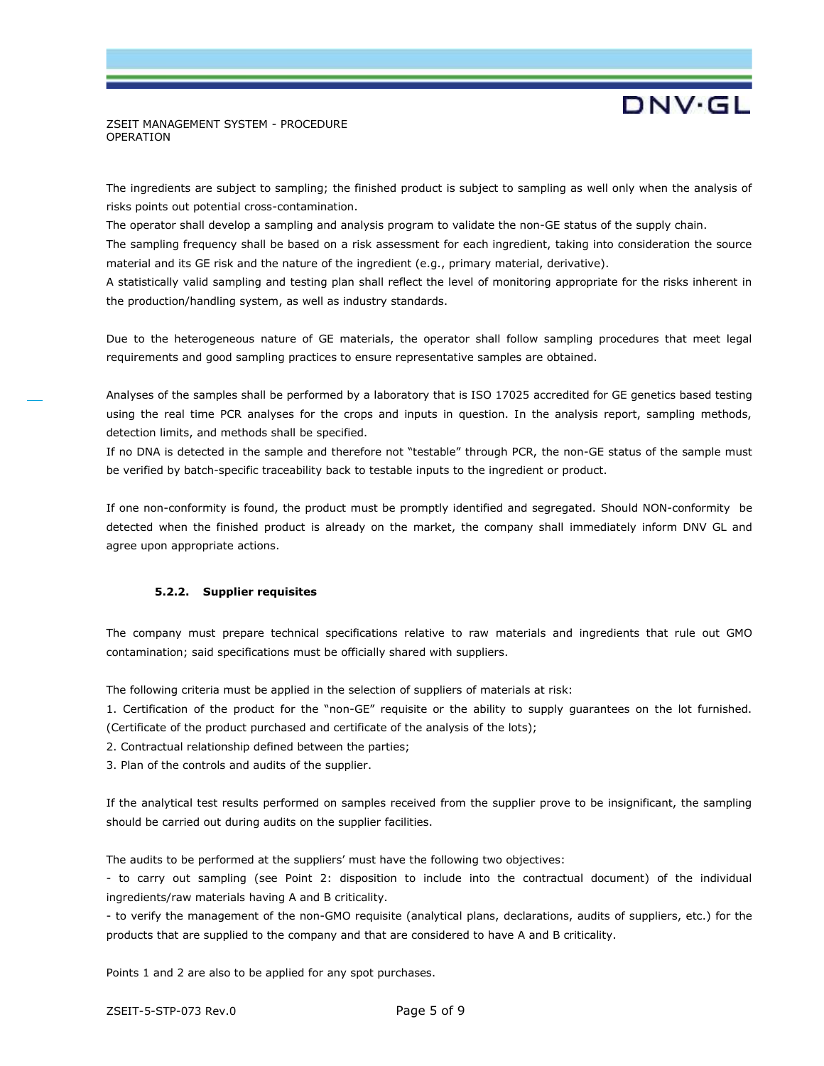# **DNV·GL**

## ZSEIT MANAGEMENT SYSTEM - PROCEDURE OPERATION

The ingredients are subject to sampling; the finished product is subject to sampling as well only when the analysis of risks points out potential cross-contamination.

The operator shall develop a sampling and analysis program to validate the non-GE status of the supply chain.

The sampling frequency shall be based on a risk assessment for each ingredient, taking into consideration the source material and its GE risk and the nature of the ingredient (e.g., primary material, derivative).

A statistically valid sampling and testing plan shall reflect the level of monitoring appropriate for the risks inherent in the production/handling system, as well as industry standards.

Due to the heterogeneous nature of GE materials, the operator shall follow sampling procedures that meet legal requirements and good sampling practices to ensure representative samples are obtained.

Analyses of the samples shall be performed by a laboratory that is ISO 17025 accredited for GE genetics based testing using the real time PCR analyses for the crops and inputs in question. In the analysis report, sampling methods, detection limits, and methods shall be specified.

If no DNA is detected in the sample and therefore not "testable" through PCR, the non-GE status of the sample must be verified by batch-specific traceability back to testable inputs to the ingredient or product.

If one non-conformity is found, the product must be promptly identified and segregated. Should NON-conformity be detected when the finished product is already on the market, the company shall immediately inform DNV GL and agree upon appropriate actions.

## **5.2.2. Supplier requisites**

The company must prepare technical specifications relative to raw materials and ingredients that rule out GMO contamination; said specifications must be officially shared with suppliers.

The following criteria must be applied in the selection of suppliers of materials at risk:

1. Certification of the product for the "non-GE" requisite or the ability to supply guarantees on the lot furnished. (Certificate of the product purchased and certificate of the analysis of the lots);

2. Contractual relationship defined between the parties;

3. Plan of the controls and audits of the supplier.

If the analytical test results performed on samples received from the supplier prove to be insignificant, the sampling should be carried out during audits on the supplier facilities.

The audits to be performed at the suppliers' must have the following two objectives:

- to carry out sampling (see Point 2: disposition to include into the contractual document) of the individual ingredients/raw materials having A and B criticality.

- to verify the management of the non-GMO requisite (analytical plans, declarations, audits of suppliers, etc.) for the products that are supplied to the company and that are considered to have A and B criticality.

Points 1 and 2 are also to be applied for any spot purchases.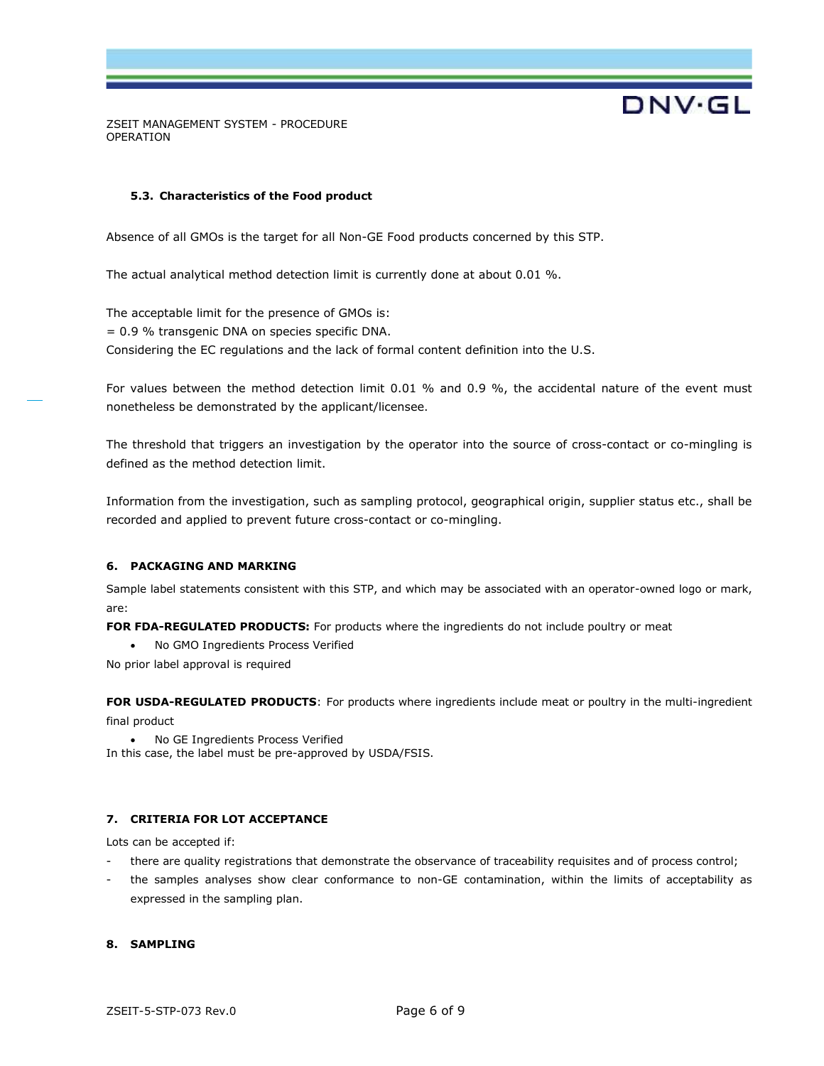## **5.3. Characteristics of the Food product**

Absence of all GMOs is the target for all Non-GE Food products concerned by this STP.

The actual analytical method detection limit is currently done at about 0.01 %.

The acceptable limit for the presence of GMOs is: = 0.9 % transgenic DNA on species specific DNA. Considering the EC regulations and the lack of formal content definition into the U.S.

For values between the method detection limit 0.01 % and 0.9 %, the accidental nature of the event must nonetheless be demonstrated by the applicant/licensee.

**DNV·GL** 

The threshold that triggers an investigation by the operator into the source of cross-contact or co-mingling is defined as the method detection limit.

Information from the investigation, such as sampling protocol, geographical origin, supplier status etc., shall be recorded and applied to prevent future cross-contact or co-mingling.

## **6. PACKAGING AND MARKING**

Sample label statements consistent with this STP, and which may be associated with an operator-owned logo or mark, are:

FOR FDA-REGULATED PRODUCTS: For products where the ingredients do not include poultry or meat

No GMO Ingredients Process Verified

No prior label approval is required

**FOR USDA-REGULATED PRODUCTS**: For products where ingredients include meat or poultry in the multi-ingredient final product

 No GE Ingredients Process Verified In this case, the label must be pre-approved by USDA/FSIS.

## **7. CRITERIA FOR LOT ACCEPTANCE**

Lots can be accepted if:

- there are quality registrations that demonstrate the observance of traceability requisites and of process control;
- the samples analyses show clear conformance to non-GE contamination, within the limits of acceptability as expressed in the sampling plan.

## **8. SAMPLING**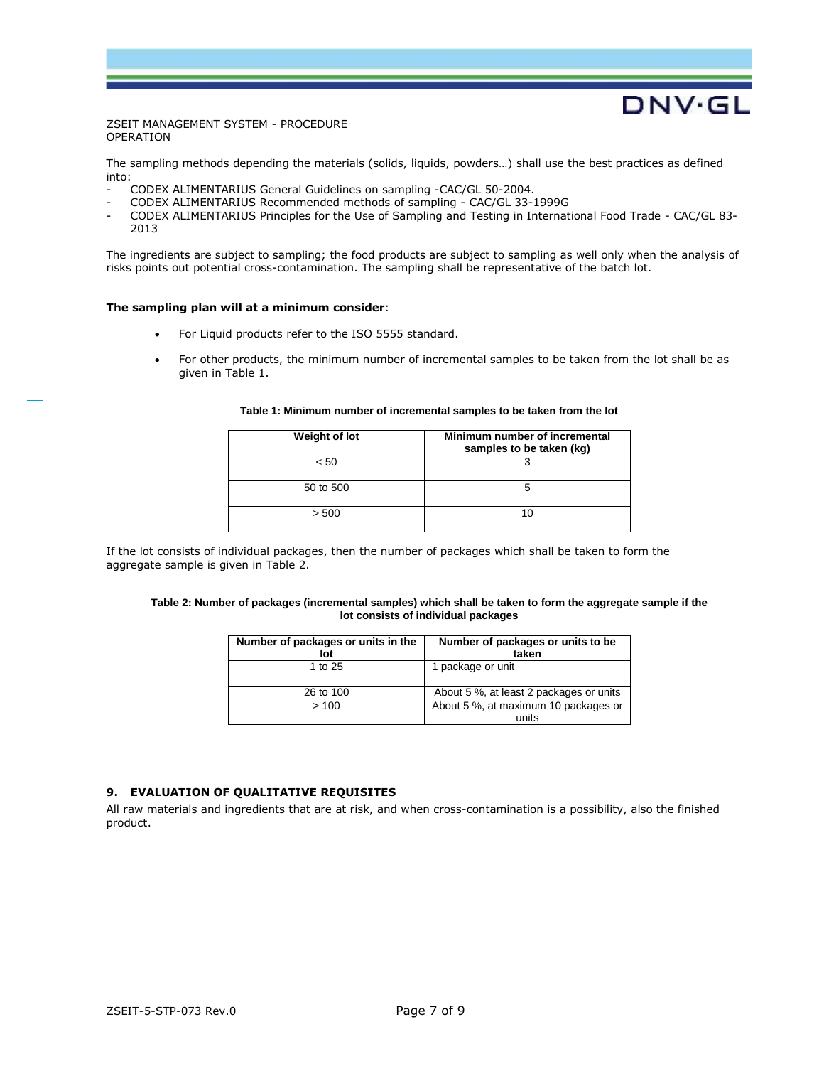The sampling methods depending the materials (solids, liquids, powders…) shall use the best practices as defined into:

DNV.GL

- CODEX ALIMENTARIUS General Guidelines on sampling -CAC/GL 50-2004.
- CODEX ALIMENTARIUS Recommended methods of sampling CAC/GL 33-1999G
- CODEX ALIMENTARIUS Principles for the Use of Sampling and Testing in International Food Trade CAC/GL 83- 2013

The ingredients are subject to sampling; the food products are subject to sampling as well only when the analysis of risks points out potential cross-contamination. The sampling shall be representative of the batch lot.

#### **The sampling plan will at a minimum consider**:

- For Liquid products refer to the ISO 5555 standard.
- For other products, the minimum number of incremental samples to be taken from the lot shall be as given in Table 1.

| Weight of lot | Minimum number of incremental<br>samples to be taken (kg) |
|---------------|-----------------------------------------------------------|
| < 50          |                                                           |
| 50 to 500     |                                                           |
| > 500         |                                                           |

#### **Table 1: Minimum number of incremental samples to be taken from the lot**

If the lot consists of individual packages, then the number of packages which shall be taken to form the aggregate sample is given in Table 2.

#### **Table 2: Number of packages (incremental samples) which shall be taken to form the aggregate sample if the lot consists of individual packages**

| Number of packages or units in the<br>lot | Number of packages or units to be<br>taken    |
|-------------------------------------------|-----------------------------------------------|
| 1 to 25                                   | 1 package or unit                             |
| 26 to 100                                 | About 5 %, at least 2 packages or units       |
| >100                                      | About 5 %, at maximum 10 packages or<br>units |

## **9. EVALUATION OF QUALITATIVE REQUISITES**

All raw materials and ingredients that are at risk, and when cross-contamination is a possibility, also the finished product.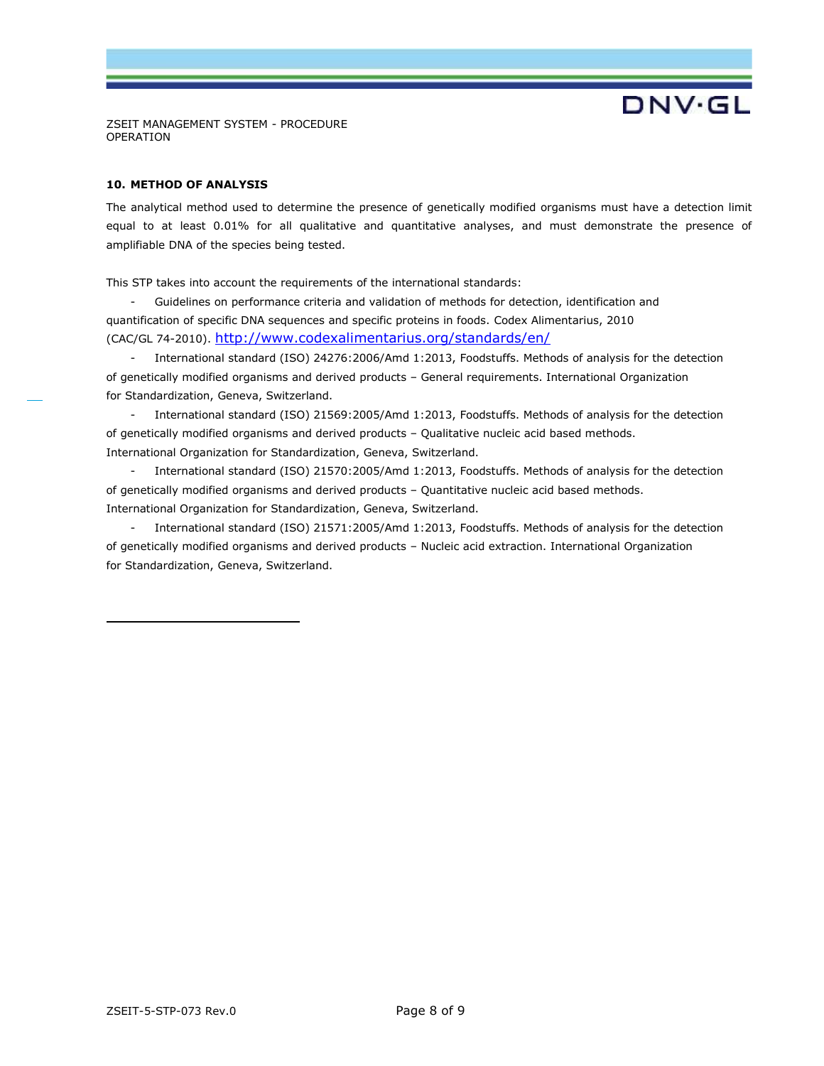## **10. METHOD OF ANALYSIS**

The analytical method used to determine the presence of genetically modified organisms must have a detection limit equal to at least 0.01% for all qualitative and quantitative analyses, and must demonstrate the presence of amplifiable DNA of the species being tested.

**DNV·GL** 

This STP takes into account the requirements of the international standards:

- Guidelines on performance criteria and validation of methods for detection, identification and quantification of specific DNA sequences and specific proteins in foods. Codex Alimentarius, 2010 (CAC/GL 74-2010). <http://www.codexalimentarius.org/standards/en/>

International standard (ISO) 24276:2006/Amd 1:2013, Foodstuffs. Methods of analysis for the detection of genetically modified organisms and derived products – General requirements. International Organization for Standardization, Geneva, Switzerland.

- International standard (ISO) 21569:2005/Amd 1:2013, Foodstuffs. Methods of analysis for the detection of genetically modified organisms and derived products – Qualitative nucleic acid based methods. International Organization for Standardization, Geneva, Switzerland.

- International standard (ISO) 21570:2005/Amd 1:2013, Foodstuffs. Methods of analysis for the detection of genetically modified organisms and derived products – Quantitative nucleic acid based methods. International Organization for Standardization, Geneva, Switzerland.

International standard (ISO) 21571:2005/Amd 1:2013, Foodstuffs. Methods of analysis for the detection of genetically modified organisms and derived products – Nucleic acid extraction. International Organization for Standardization, Geneva, Switzerland.